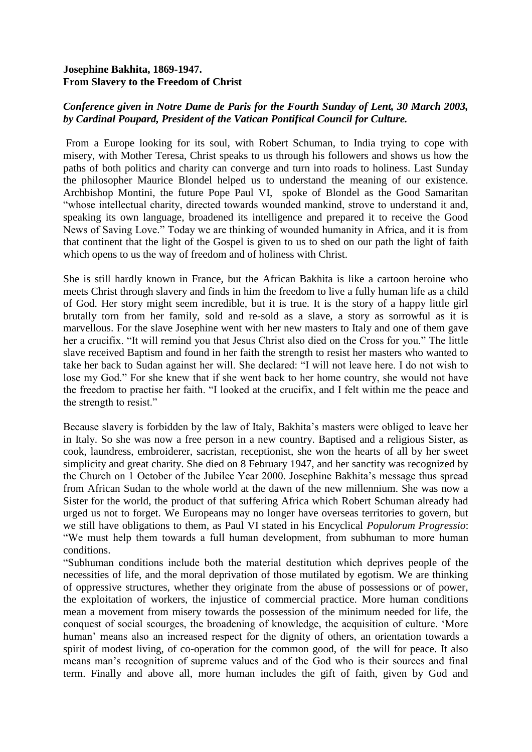# **Josephine Bakhita, 1869-1947. From Slavery to the Freedom of Christ**

# *Conference given in Notre Dame de Paris for the Fourth Sunday of Lent, 30 March 2003, by Cardinal Poupard, President of the Vatican Pontifical Council for Culture.*

From a Europe looking for its soul, with Robert Schuman, to India trying to cope with misery, with Mother Teresa, Christ speaks to us through his followers and shows us how the paths of both politics and charity can converge and turn into roads to holiness. Last Sunday the philosopher Maurice Blondel helped us to understand the meaning of our existence. Archbishop Montini, the future Pope Paul VI, spoke of Blondel as the Good Samaritan "whose intellectual charity, directed towards wounded mankind, strove to understand it and, speaking its own language, broadened its intelligence and prepared it to receive the Good News of Saving Love." Today we are thinking of wounded humanity in Africa, and it is from that continent that the light of the Gospel is given to us to shed on our path the light of faith which opens to us the way of freedom and of holiness with Christ.

She is still hardly known in France, but the African Bakhita is like a cartoon heroine who meets Christ through slavery and finds in him the freedom to live a fully human life as a child of God. Her story might seem incredible, but it is true. It is the story of a happy little girl brutally torn from her family, sold and re-sold as a slave, a story as sorrowful as it is marvellous. For the slave Josephine went with her new masters to Italy and one of them gave her a crucifix. "It will remind you that Jesus Christ also died on the Cross for you." The little slave received Baptism and found in her faith the strength to resist her masters who wanted to take her back to Sudan against her will. She declared: "I will not leave here. I do not wish to lose my God." For she knew that if she went back to her home country, she would not have the freedom to practise her faith. "I looked at the crucifix, and I felt within me the peace and the strength to resist."

Because slavery is forbidden by the law of Italy, Bakhita's masters were obliged to leave her in Italy. So she was now a free person in a new country. Baptised and a religious Sister, as cook, laundress, embroiderer, sacristan, receptionist, she won the hearts of all by her sweet simplicity and great charity. She died on 8 February 1947, and her sanctity was recognized by the Church on 1 October of the Jubilee Year 2000. Josephine Bakhita's message thus spread from African Sudan to the whole world at the dawn of the new millennium. She was now a Sister for the world, the product of that suffering Africa which Robert Schuman already had urged us not to forget. We Europeans may no longer have overseas territories to govern, but we still have obligations to them, as Paul VI stated in his Encyclical *Populorum Progressio*: "We must help them towards a full human development, from subhuman to more human conditions.

"Subhuman conditions include both the material destitution which deprives people of the necessities of life, and the moral deprivation of those mutilated by egotism. We are thinking of oppressive structures, whether they originate from the abuse of possessions or of power, the exploitation of workers, the injustice of commercial practice. More human conditions mean a movement from misery towards the possession of the minimum needed for life, the conquest of social scourges, the broadening of knowledge, the acquisition of culture. 'More human' means also an increased respect for the dignity of others, an orientation towards a spirit of modest living, of co-operation for the common good, of the will for peace. It also means man's recognition of supreme values and of the God who is their sources and final term. Finally and above all, more human includes the gift of faith, given by God and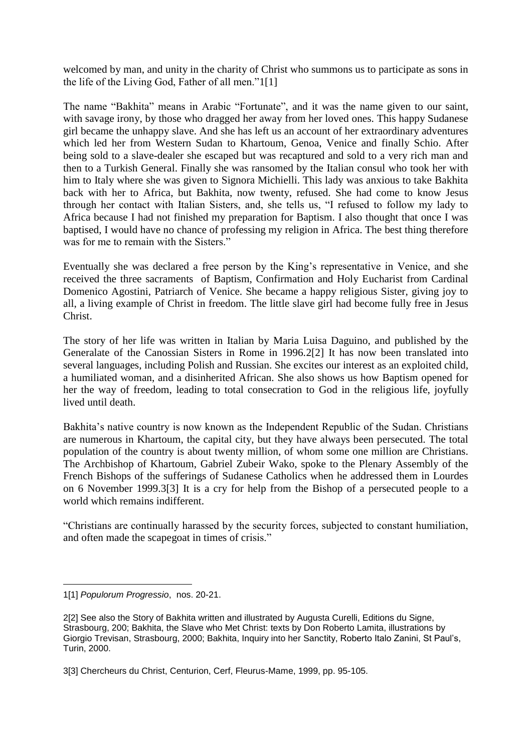welcomed by man, and unity in the charity of Christ who summons us to participate as sons in the life of the Living God, Father of all men."1[1]

The name "Bakhita" means in Arabic "Fortunate", and it was the name given to our saint, with savage irony, by those who dragged her away from her loved ones. This happy Sudanese girl became the unhappy slave. And she has left us an account of her extraordinary adventures which led her from Western Sudan to Khartoum, Genoa, Venice and finally Schio. After being sold to a slave-dealer she escaped but was recaptured and sold to a very rich man and then to a Turkish General. Finally she was ransomed by the Italian consul who took her with him to Italy where she was given to Signora Michielli. This lady was anxious to take Bakhita back with her to Africa, but Bakhita, now twenty, refused. She had come to know Jesus through her contact with Italian Sisters, and, she tells us, "I refused to follow my lady to Africa because I had not finished my preparation for Baptism. I also thought that once I was baptised, I would have no chance of professing my religion in Africa. The best thing therefore was for me to remain with the Sisters."

Eventually she was declared a free person by the King's representative in Venice, and she received the three sacraments of Baptism, Confirmation and Holy Eucharist from Cardinal Domenico Agostini, Patriarch of Venice. She became a happy religious Sister, giving joy to all, a living example of Christ in freedom. The little slave girl had become fully free in Jesus Christ.

The story of her life was written in Italian by Maria Luisa Daguino, and published by the Generalate of the Canossian Sisters in Rome in 1996.2[2] It has now been translated into several languages, including Polish and Russian. She excites our interest as an exploited child, a humiliated woman, and a disinherited African. She also shows us how Baptism opened for her the way of freedom, leading to total consecration to God in the religious life, joyfully lived until death.

Bakhita's native country is now known as the Independent Republic of the Sudan. Christians are numerous in Khartoum, the capital city, but they have always been persecuted. The total population of the country is about twenty million, of whom some one million are Christians. The Archbishop of Khartoum, Gabriel Zubeir Wako, spoke to the Plenary Assembly of the French Bishops of the sufferings of Sudanese Catholics when he addressed them in Lourdes on 6 November 1999.3[3] It is a cry for help from the Bishop of a persecuted people to a world which remains indifferent.

"Christians are continually harassed by the security forces, subjected to constant humiliation, and often made the scapegoat in times of crisis."

<u>.</u>

<sup>1[1]</sup> *Populorum Progressio*, nos. 20-21.

<sup>2[2]</sup> See also the Story of Bakhita written and illustrated by Augusta Curelli, Editions du Signe, Strasbourg, 200; Bakhita, the Slave who Met Christ: texts by Don Roberto Lamita, illustrations by Giorgio Trevisan, Strasbourg, 2000; Bakhita, Inquiry into her Sanctity, Roberto Italo Zanini, St Paul's, Turin, 2000.

<sup>3[3]</sup> Chercheurs du Christ, Centurion, Cerf, Fleurus-Mame, 1999, pp. 95-105.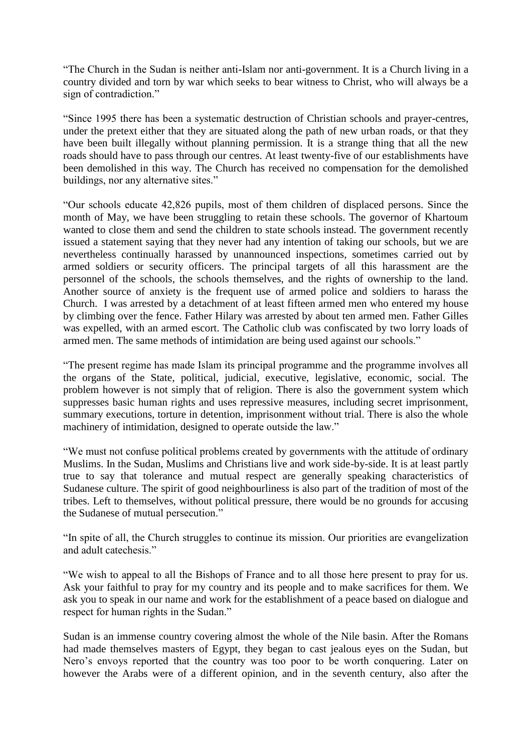"The Church in the Sudan is neither anti-Islam nor anti-government. It is a Church living in a country divided and torn by war which seeks to bear witness to Christ, who will always be a sign of contradiction."

"Since 1995 there has been a systematic destruction of Christian schools and prayer-centres, under the pretext either that they are situated along the path of new urban roads, or that they have been built illegally without planning permission. It is a strange thing that all the new roads should have to pass through our centres. At least twenty-five of our establishments have been demolished in this way. The Church has received no compensation for the demolished buildings, nor any alternative sites."

"Our schools educate 42,826 pupils, most of them children of displaced persons. Since the month of May, we have been struggling to retain these schools. The governor of Khartoum wanted to close them and send the children to state schools instead. The government recently issued a statement saying that they never had any intention of taking our schools, but we are nevertheless continually harassed by unannounced inspections, sometimes carried out by armed soldiers or security officers. The principal targets of all this harassment are the personnel of the schools, the schools themselves, and the rights of ownership to the land. Another source of anxiety is the frequent use of armed police and soldiers to harass the Church. I was arrested by a detachment of at least fifteen armed men who entered my house by climbing over the fence. Father Hilary was arrested by about ten armed men. Father Gilles was expelled, with an armed escort. The Catholic club was confiscated by two lorry loads of armed men. The same methods of intimidation are being used against our schools."

"The present regime has made Islam its principal programme and the programme involves all the organs of the State, political, judicial, executive, legislative, economic, social. The problem however is not simply that of religion. There is also the government system which suppresses basic human rights and uses repressive measures, including secret imprisonment, summary executions, torture in detention, imprisonment without trial. There is also the whole machinery of intimidation, designed to operate outside the law."

"We must not confuse political problems created by governments with the attitude of ordinary Muslims. In the Sudan, Muslims and Christians live and work side-by-side. It is at least partly true to say that tolerance and mutual respect are generally speaking characteristics of Sudanese culture. The spirit of good neighbourliness is also part of the tradition of most of the tribes. Left to themselves, without political pressure, there would be no grounds for accusing the Sudanese of mutual persecution."

"In spite of all, the Church struggles to continue its mission. Our priorities are evangelization and adult catechesis."

"We wish to appeal to all the Bishops of France and to all those here present to pray for us. Ask your faithful to pray for my country and its people and to make sacrifices for them. We ask you to speak in our name and work for the establishment of a peace based on dialogue and respect for human rights in the Sudan."

Sudan is an immense country covering almost the whole of the Nile basin. After the Romans had made themselves masters of Egypt, they began to cast jealous eyes on the Sudan, but Nero's envoys reported that the country was too poor to be worth conquering. Later on however the Arabs were of a different opinion, and in the seventh century, also after the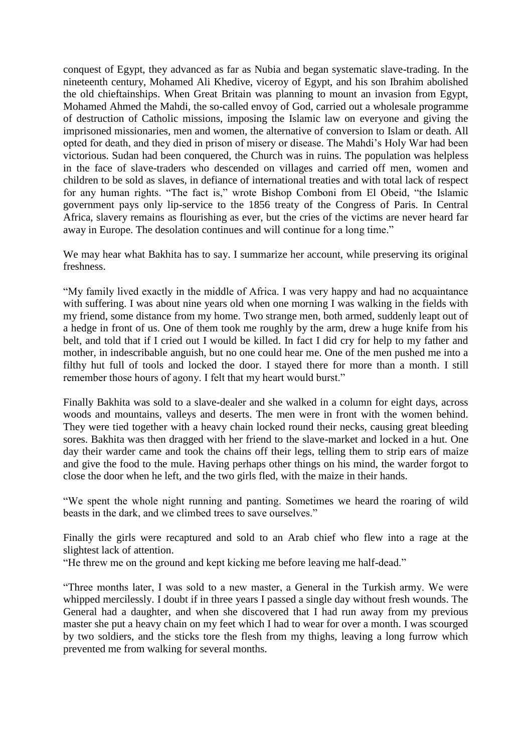conquest of Egypt, they advanced as far as Nubia and began systematic slave-trading. In the nineteenth century, Mohamed Ali Khedive, viceroy of Egypt, and his son Ibrahim abolished the old chieftainships. When Great Britain was planning to mount an invasion from Egypt, Mohamed Ahmed the Mahdi, the so-called envoy of God, carried out a wholesale programme of destruction of Catholic missions, imposing the Islamic law on everyone and giving the imprisoned missionaries, men and women, the alternative of conversion to Islam or death. All opted for death, and they died in prison of misery or disease. The Mahdi's Holy War had been victorious. Sudan had been conquered, the Church was in ruins. The population was helpless in the face of slave-traders who descended on villages and carried off men, women and children to be sold as slaves, in defiance of international treaties and with total lack of respect for any human rights. "The fact is," wrote Bishop Comboni from El Obeid, "the Islamic government pays only lip-service to the 1856 treaty of the Congress of Paris. In Central Africa, slavery remains as flourishing as ever, but the cries of the victims are never heard far away in Europe. The desolation continues and will continue for a long time."

We may hear what Bakhita has to say. I summarize her account, while preserving its original freshness.

"My family lived exactly in the middle of Africa. I was very happy and had no acquaintance with suffering. I was about nine years old when one morning I was walking in the fields with my friend, some distance from my home. Two strange men, both armed, suddenly leapt out of a hedge in front of us. One of them took me roughly by the arm, drew a huge knife from his belt, and told that if I cried out I would be killed. In fact I did cry for help to my father and mother, in indescribable anguish, but no one could hear me. One of the men pushed me into a filthy hut full of tools and locked the door. I stayed there for more than a month. I still remember those hours of agony. I felt that my heart would burst."

Finally Bakhita was sold to a slave-dealer and she walked in a column for eight days, across woods and mountains, valleys and deserts. The men were in front with the women behind. They were tied together with a heavy chain locked round their necks, causing great bleeding sores. Bakhita was then dragged with her friend to the slave-market and locked in a hut. One day their warder came and took the chains off their legs, telling them to strip ears of maize and give the food to the mule. Having perhaps other things on his mind, the warder forgot to close the door when he left, and the two girls fled, with the maize in their hands.

"We spent the whole night running and panting. Sometimes we heard the roaring of wild beasts in the dark, and we climbed trees to save ourselves."

Finally the girls were recaptured and sold to an Arab chief who flew into a rage at the slightest lack of attention.

"He threw me on the ground and kept kicking me before leaving me half-dead."

"Three months later, I was sold to a new master, a General in the Turkish army. We were whipped mercilessly. I doubt if in three years I passed a single day without fresh wounds. The General had a daughter, and when she discovered that I had run away from my previous master she put a heavy chain on my feet which I had to wear for over a month. I was scourged by two soldiers, and the sticks tore the flesh from my thighs, leaving a long furrow which prevented me from walking for several months.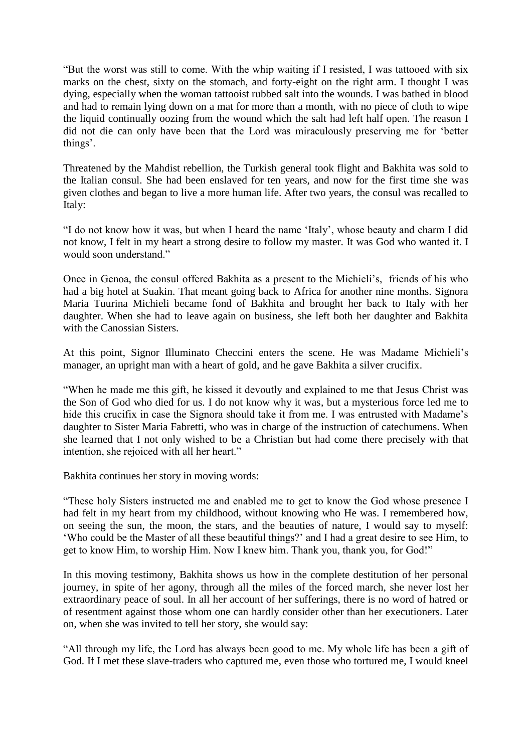"But the worst was still to come. With the whip waiting if I resisted, I was tattooed with six marks on the chest, sixty on the stomach, and forty-eight on the right arm. I thought I was dying, especially when the woman tattooist rubbed salt into the wounds. I was bathed in blood and had to remain lying down on a mat for more than a month, with no piece of cloth to wipe the liquid continually oozing from the wound which the salt had left half open. The reason I did not die can only have been that the Lord was miraculously preserving me for 'better things'.

Threatened by the Mahdist rebellion, the Turkish general took flight and Bakhita was sold to the Italian consul. She had been enslaved for ten years, and now for the first time she was given clothes and began to live a more human life. After two years, the consul was recalled to Italy:

"I do not know how it was, but when I heard the name 'Italy', whose beauty and charm I did not know, I felt in my heart a strong desire to follow my master. It was God who wanted it. I would soon understand."

Once in Genoa, the consul offered Bakhita as a present to the Michieli's, friends of his who had a big hotel at Suakin. That meant going back to Africa for another nine months. Signora Maria Tuurina Michieli became fond of Bakhita and brought her back to Italy with her daughter. When she had to leave again on business, she left both her daughter and Bakhita with the Canossian Sisters.

At this point, Signor Illuminato Checcini enters the scene. He was Madame Michieli's manager, an upright man with a heart of gold, and he gave Bakhita a silver crucifix.

"When he made me this gift, he kissed it devoutly and explained to me that Jesus Christ was the Son of God who died for us. I do not know why it was, but a mysterious force led me to hide this crucifix in case the Signora should take it from me. I was entrusted with Madame's daughter to Sister Maria Fabretti, who was in charge of the instruction of catechumens. When she learned that I not only wished to be a Christian but had come there precisely with that intention, she rejoiced with all her heart."

Bakhita continues her story in moving words:

"These holy Sisters instructed me and enabled me to get to know the God whose presence I had felt in my heart from my childhood, without knowing who He was. I remembered how, on seeing the sun, the moon, the stars, and the beauties of nature, I would say to myself: 'Who could be the Master of all these beautiful things?' and I had a great desire to see Him, to get to know Him, to worship Him. Now I knew him. Thank you, thank you, for God!"

In this moving testimony, Bakhita shows us how in the complete destitution of her personal journey, in spite of her agony, through all the miles of the forced march, she never lost her extraordinary peace of soul. In all her account of her sufferings, there is no word of hatred or of resentment against those whom one can hardly consider other than her executioners. Later on, when she was invited to tell her story, she would say:

"All through my life, the Lord has always been good to me. My whole life has been a gift of God. If I met these slave-traders who captured me, even those who tortured me, I would kneel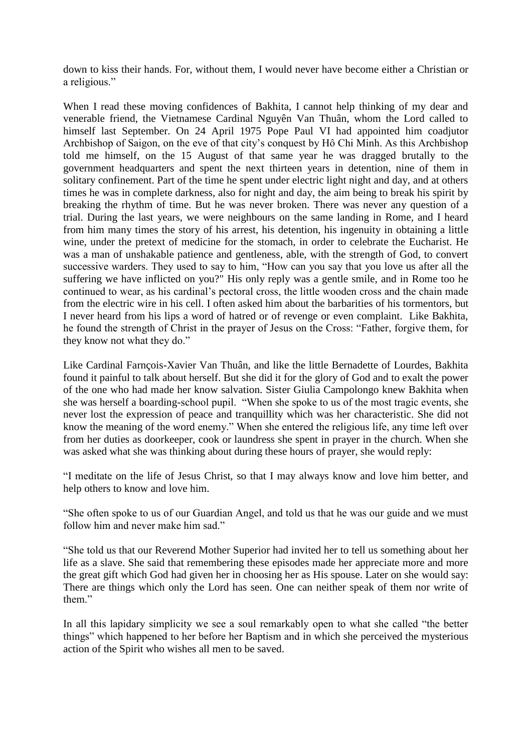down to kiss their hands. For, without them, I would never have become either a Christian or a religious."

When I read these moving confidences of Bakhita, I cannot help thinking of my dear and venerable friend, the Vietnamese Cardinal Nguyên Van Thuân, whom the Lord called to himself last September. On 24 April 1975 Pope Paul VI had appointed him coadjutor Archbishop of Saigon, on the eve of that city's conquest by Hô Chi Minh. As this Archbishop told me himself, on the 15 August of that same year he was dragged brutally to the government headquarters and spent the next thirteen years in detention, nine of them in solitary confinement. Part of the time he spent under electric light night and day, and at others times he was in complete darkness, also for night and day, the aim being to break his spirit by breaking the rhythm of time. But he was never broken. There was never any question of a trial. During the last years, we were neighbours on the same landing in Rome, and I heard from him many times the story of his arrest, his detention, his ingenuity in obtaining a little wine, under the pretext of medicine for the stomach, in order to celebrate the Eucharist. He was a man of unshakable patience and gentleness, able, with the strength of God, to convert successive warders. They used to say to him, "How can you say that you love us after all the suffering we have inflicted on you?" His only reply was a gentle smile, and in Rome too he continued to wear, as his cardinal's pectoral cross, the little wooden cross and the chain made from the electric wire in his cell. I often asked him about the barbarities of his tormentors, but I never heard from his lips a word of hatred or of revenge or even complaint. Like Bakhita, he found the strength of Christ in the prayer of Jesus on the Cross: "Father, forgive them, for they know not what they do."

Like Cardinal Farnçois-Xavier Van Thuân, and like the little Bernadette of Lourdes, Bakhita found it painful to talk about herself. But she did it for the glory of God and to exalt the power of the one who had made her know salvation. Sister Giulia Campolongo knew Bakhita when she was herself a boarding-school pupil. "When she spoke to us of the most tragic events, she never lost the expression of peace and tranquillity which was her characteristic. She did not know the meaning of the word enemy." When she entered the religious life, any time left over from her duties as doorkeeper, cook or laundress she spent in prayer in the church. When she was asked what she was thinking about during these hours of prayer, she would reply:

"I meditate on the life of Jesus Christ, so that I may always know and love him better, and help others to know and love him.

"She often spoke to us of our Guardian Angel, and told us that he was our guide and we must follow him and never make him sad."

"She told us that our Reverend Mother Superior had invited her to tell us something about her life as a slave. She said that remembering these episodes made her appreciate more and more the great gift which God had given her in choosing her as His spouse. Later on she would say: There are things which only the Lord has seen. One can neither speak of them nor write of them"

In all this lapidary simplicity we see a soul remarkably open to what she called "the better things" which happened to her before her Baptism and in which she perceived the mysterious action of the Spirit who wishes all men to be saved.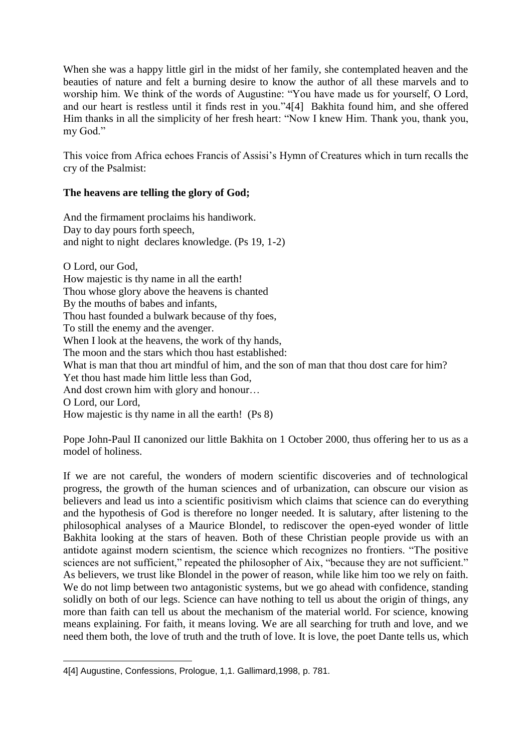When she was a happy little girl in the midst of her family, she contemplated heaven and the beauties of nature and felt a burning desire to know the author of all these marvels and to worship him. We think of the words of Augustine: "You have made us for yourself, O Lord, and our heart is restless until it finds rest in you."4[4] Bakhita found him, and she offered Him thanks in all the simplicity of her fresh heart: "Now I knew Him. Thank you, thank you, my God."

This voice from Africa echoes Francis of Assisi's Hymn of Creatures which in turn recalls the cry of the Psalmist:

## **The heavens are telling the glory of God;**

And the firmament proclaims his handiwork. Day to day pours forth speech, and night to night declares knowledge. (Ps 19, 1-2)

O Lord, our God, How majestic is thy name in all the earth! Thou whose glory above the heavens is chanted By the mouths of babes and infants, Thou hast founded a bulwark because of thy foes, To still the enemy and the avenger. When I look at the heavens, the work of thy hands, The moon and the stars which thou hast established: What is man that thou art mindful of him, and the son of man that thou dost care for him? Yet thou hast made him little less than God, And dost crown him with glory and honour… O Lord, our Lord, How majestic is thy name in all the earth! (Ps 8)

Pope John-Paul II canonized our little Bakhita on 1 October 2000, thus offering her to us as a model of holiness.

If we are not careful, the wonders of modern scientific discoveries and of technological progress, the growth of the human sciences and of urbanization, can obscure our vision as believers and lead us into a scientific positivism which claims that science can do everything and the hypothesis of God is therefore no longer needed. It is salutary, after listening to the philosophical analyses of a Maurice Blondel, to rediscover the open-eyed wonder of little Bakhita looking at the stars of heaven. Both of these Christian people provide us with an antidote against modern scientism, the science which recognizes no frontiers. "The positive sciences are not sufficient," repeated the philosopher of Aix, "because they are not sufficient." As believers, we trust like Blondel in the power of reason, while like him too we rely on faith. We do not limp between two antagonistic systems, but we go ahead with confidence, standing solidly on both of our legs. Science can have nothing to tell us about the origin of things, any more than faith can tell us about the mechanism of the material world. For science, knowing means explaining. For faith, it means loving. We are all searching for truth and love, and we need them both, the love of truth and the truth of love. It is love, the poet Dante tells us, which

<sup>4[4]</sup> Augustine, Confessions, Prologue, 1,1. Gallimard,1998, p. 781.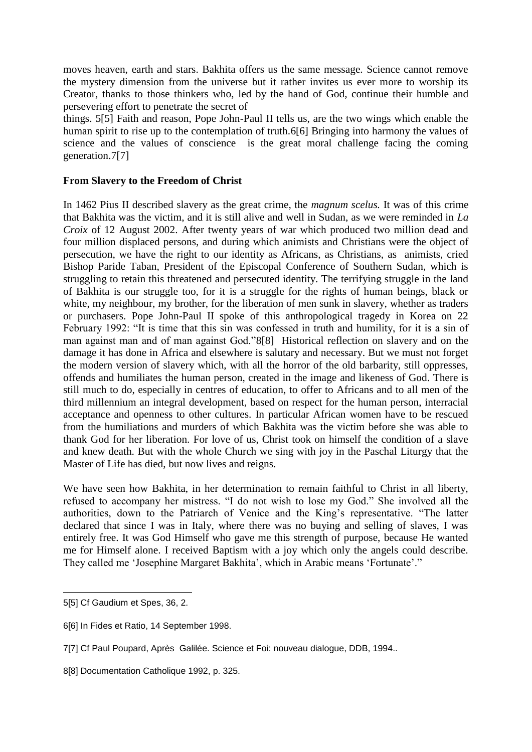moves heaven, earth and stars. Bakhita offers us the same message. Science cannot remove the mystery dimension from the universe but it rather invites us ever more to worship its Creator, thanks to those thinkers who, led by the hand of God, continue their humble and persevering effort to penetrate the secret of

things. 5[5] Faith and reason, Pope John-Paul II tells us, are the two wings which enable the human spirit to rise up to the contemplation of truth.6[6] Bringing into harmony the values of science and the values of conscience is the great moral challenge facing the coming generation.7[7]

### **From Slavery to the Freedom of Christ**

In 1462 Pius II described slavery as the great crime, the *magnum scelus.* It was of this crime that Bakhita was the victim, and it is still alive and well in Sudan, as we were reminded in *La Croix* of 12 August 2002. After twenty years of war which produced two million dead and four million displaced persons, and during which animists and Christians were the object of persecution, we have the right to our identity as Africans, as Christians, as animists, cried Bishop Paride Taban, President of the Episcopal Conference of Southern Sudan, which is struggling to retain this threatened and persecuted identity. The terrifying struggle in the land of Bakhita is our struggle too, for it is a struggle for the rights of human beings, black or white, my neighbour, my brother, for the liberation of men sunk in slavery, whether as traders or purchasers. Pope John-Paul II spoke of this anthropological tragedy in Korea on 22 February 1992: "It is time that this sin was confessed in truth and humility, for it is a sin of man against man and of man against God."8[8] Historical reflection on slavery and on the damage it has done in Africa and elsewhere is salutary and necessary. But we must not forget the modern version of slavery which, with all the horror of the old barbarity, still oppresses, offends and humiliates the human person, created in the image and likeness of God. There is still much to do, especially in centres of education, to offer to Africans and to all men of the third millennium an integral development, based on respect for the human person, interracial acceptance and openness to other cultures. In particular African women have to be rescued from the humiliations and murders of which Bakhita was the victim before she was able to thank God for her liberation. For love of us, Christ took on himself the condition of a slave and knew death. But with the whole Church we sing with joy in the Paschal Liturgy that the Master of Life has died, but now lives and reigns.

We have seen how Bakhita, in her determination to remain faithful to Christ in all liberty, refused to accompany her mistress. "I do not wish to lose my God." She involved all the authorities, down to the Patriarch of Venice and the King's representative. "The latter declared that since I was in Italy, where there was no buying and selling of slaves, I was entirely free. It was God Himself who gave me this strength of purpose, because He wanted me for Himself alone. I received Baptism with a joy which only the angels could describe. They called me 'Josephine Margaret Bakhita', which in Arabic means 'Fortunate'."

<sup>&</sup>lt;u>.</u> 5[5] Cf Gaudium et Spes, 36, 2.

<sup>6[6]</sup> In Fides et Ratio, 14 September 1998.

<sup>7[7]</sup> Cf Paul Poupard, Après Galilée. Science et Foi: nouveau dialogue, DDB, 1994..

<sup>8[8]</sup> Documentation Catholique 1992, p. 325.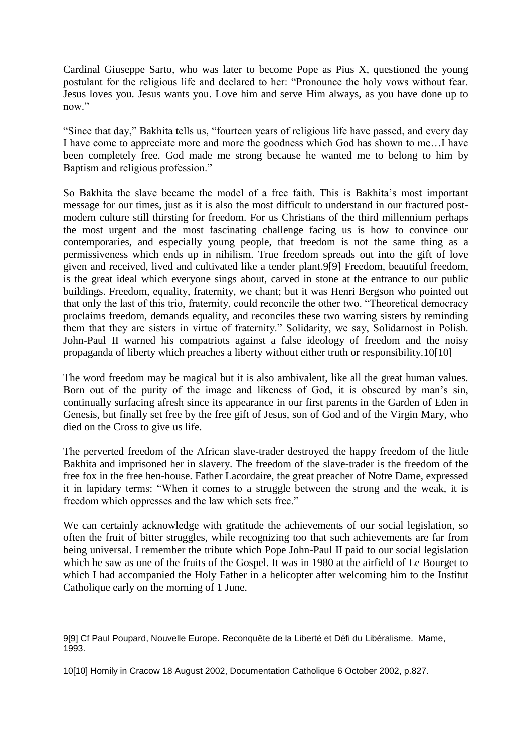Cardinal Giuseppe Sarto, who was later to become Pope as Pius X, questioned the young postulant for the religious life and declared to her: "Pronounce the holy vows without fear. Jesus loves you. Jesus wants you. Love him and serve Him always, as you have done up to now."

"Since that day," Bakhita tells us, "fourteen years of religious life have passed, and every day I have come to appreciate more and more the goodness which God has shown to me…I have been completely free. God made me strong because he wanted me to belong to him by Baptism and religious profession."

So Bakhita the slave became the model of a free faith. This is Bakhita's most important message for our times, just as it is also the most difficult to understand in our fractured postmodern culture still thirsting for freedom. For us Christians of the third millennium perhaps the most urgent and the most fascinating challenge facing us is how to convince our contemporaries, and especially young people, that freedom is not the same thing as a permissiveness which ends up in nihilism. True freedom spreads out into the gift of love given and received, lived and cultivated like a tender plant.9[9] Freedom, beautiful freedom, is the great ideal which everyone sings about, carved in stone at the entrance to our public buildings. Freedom, equality, fraternity, we chant; but it was Henri Bergson who pointed out that only the last of this trio, fraternity, could reconcile the other two. "Theoretical democracy proclaims freedom, demands equality, and reconciles these two warring sisters by reminding them that they are sisters in virtue of fraternity." Solidarity, we say, Solidarnost in Polish. John-Paul II warned his compatriots against a false ideology of freedom and the noisy propaganda of liberty which preaches a liberty without either truth or responsibility.10[10]

The word freedom may be magical but it is also ambivalent, like all the great human values. Born out of the purity of the image and likeness of God, it is obscured by man's sin, continually surfacing afresh since its appearance in our first parents in the Garden of Eden in Genesis, but finally set free by the free gift of Jesus, son of God and of the Virgin Mary, who died on the Cross to give us life.

The perverted freedom of the African slave-trader destroyed the happy freedom of the little Bakhita and imprisoned her in slavery. The freedom of the slave-trader is the freedom of the free fox in the free hen-house. Father Lacordaire, the great preacher of Notre Dame, expressed it in lapidary terms: "When it comes to a struggle between the strong and the weak, it is freedom which oppresses and the law which sets free."

We can certainly acknowledge with gratitude the achievements of our social legislation, so often the fruit of bitter struggles, while recognizing too that such achievements are far from being universal. I remember the tribute which Pope John-Paul II paid to our social legislation which he saw as one of the fruits of the Gospel. It was in 1980 at the airfield of Le Bourget to which I had accompanied the Holy Father in a helicopter after welcoming him to the Institut Catholique early on the morning of 1 June.

<sup>9[9]</sup> Cf Paul Poupard, Nouvelle Europe. Reconquête de la Liberté et Défi du Libéralisme. Mame, 1993.

<sup>10[10]</sup> Homily in Cracow 18 August 2002, Documentation Catholique 6 October 2002, p.827.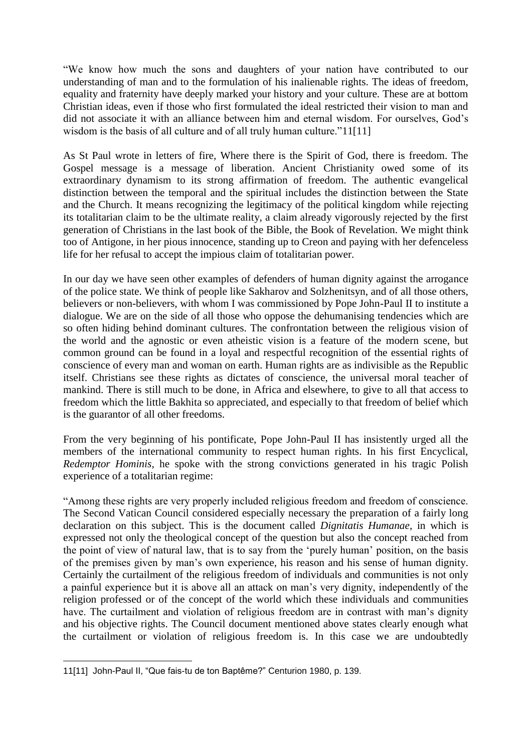"We know how much the sons and daughters of your nation have contributed to our understanding of man and to the formulation of his inalienable rights. The ideas of freedom, equality and fraternity have deeply marked your history and your culture. These are at bottom Christian ideas, even if those who first formulated the ideal restricted their vision to man and did not associate it with an alliance between him and eternal wisdom. For ourselves, God's wisdom is the basis of all culture and of all truly human culture."11[11]

As St Paul wrote in letters of fire, Where there is the Spirit of God, there is freedom. The Gospel message is a message of liberation. Ancient Christianity owed some of its extraordinary dynamism to its strong affirmation of freedom. The authentic evangelical distinction between the temporal and the spiritual includes the distinction between the State and the Church. It means recognizing the legitimacy of the political kingdom while rejecting its totalitarian claim to be the ultimate reality, a claim already vigorously rejected by the first generation of Christians in the last book of the Bible, the Book of Revelation. We might think too of Antigone, in her pious innocence, standing up to Creon and paying with her defenceless life for her refusal to accept the impious claim of totalitarian power.

In our day we have seen other examples of defenders of human dignity against the arrogance of the police state. We think of people like Sakharov and Solzhenitsyn, and of all those others, believers or non-believers, with whom I was commissioned by Pope John-Paul II to institute a dialogue. We are on the side of all those who oppose the dehumanising tendencies which are so often hiding behind dominant cultures. The confrontation between the religious vision of the world and the agnostic or even atheistic vision is a feature of the modern scene, but common ground can be found in a loyal and respectful recognition of the essential rights of conscience of every man and woman on earth. Human rights are as indivisible as the Republic itself. Christians see these rights as dictates of conscience, the universal moral teacher of mankind. There is still much to be done, in Africa and elsewhere, to give to all that access to freedom which the little Bakhita so appreciated, and especially to that freedom of belief which is the guarantor of all other freedoms.

From the very beginning of his pontificate, Pope John-Paul II has insistently urged all the members of the international community to respect human rights. In his first Encyclical, *Redemptor Hominis*, he spoke with the strong convictions generated in his tragic Polish experience of a totalitarian regime:

"Among these rights are very properly included religious freedom and freedom of conscience. The Second Vatican Council considered especially necessary the preparation of a fairly long declaration on this subject. This is the document called *Dignitatis Humanae*, in which is expressed not only the theological concept of the question but also the concept reached from the point of view of natural law, that is to say from the 'purely human' position, on the basis of the premises given by man's own experience, his reason and his sense of human dignity. Certainly the curtailment of the religious freedom of individuals and communities is not only a painful experience but it is above all an attack on man's very dignity, independently of the religion professed or of the concept of the world which these individuals and communities have. The curtailment and violation of religious freedom are in contrast with man's dignity and his objective rights. The Council document mentioned above states clearly enough what the curtailment or violation of religious freedom is. In this case we are undoubtedly

<sup>11[11]</sup> John-Paul II, "Que fais-tu de ton Baptême?" Centurion 1980, p. 139.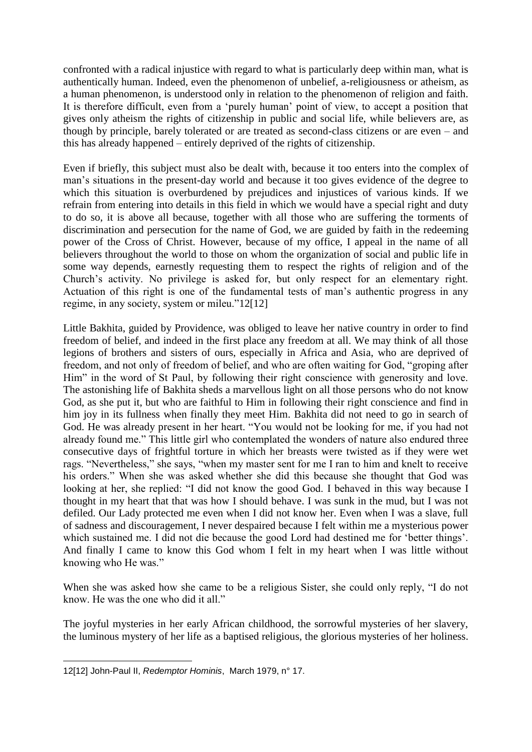confronted with a radical injustice with regard to what is particularly deep within man, what is authentically human. Indeed, even the phenomenon of unbelief, a-religiousness or atheism, as a human phenomenon, is understood only in relation to the phenomenon of religion and faith. It is therefore difficult, even from a 'purely human' point of view, to accept a position that gives only atheism the rights of citizenship in public and social life, while believers are, as though by principle, barely tolerated or are treated as second-class citizens or are even – and this has already happened – entirely deprived of the rights of citizenship.

Even if briefly, this subject must also be dealt with, because it too enters into the complex of man's situations in the present-day world and because it too gives evidence of the degree to which this situation is overburdened by prejudices and injustices of various kinds. If we refrain from entering into details in this field in which we would have a special right and duty to do so, it is above all because, together with all those who are suffering the torments of discrimination and persecution for the name of God, we are guided by faith in the redeeming power of the Cross of Christ. However, because of my office, I appeal in the name of all believers throughout the world to those on whom the organization of social and public life in some way depends, earnestly requesting them to respect the rights of religion and of the Church's activity. No privilege is asked for, but only respect for an elementary right. Actuation of this right is one of the fundamental tests of man's authentic progress in any regime, in any society, system or mileu."12[12]

Little Bakhita, guided by Providence, was obliged to leave her native country in order to find freedom of belief, and indeed in the first place any freedom at all. We may think of all those legions of brothers and sisters of ours, especially in Africa and Asia, who are deprived of freedom, and not only of freedom of belief, and who are often waiting for God, "groping after Him" in the word of St Paul, by following their right conscience with generosity and love. The astonishing life of Bakhita sheds a marvellous light on all those persons who do not know God, as she put it, but who are faithful to Him in following their right conscience and find in him joy in its fullness when finally they meet Him. Bakhita did not need to go in search of God. He was already present in her heart. "You would not be looking for me, if you had not already found me." This little girl who contemplated the wonders of nature also endured three consecutive days of frightful torture in which her breasts were twisted as if they were wet rags. "Nevertheless," she says, "when my master sent for me I ran to him and knelt to receive his orders." When she was asked whether she did this because she thought that God was looking at her, she replied: "I did not know the good God. I behaved in this way because I thought in my heart that that was how I should behave. I was sunk in the mud, but I was not defiled. Our Lady protected me even when I did not know her. Even when I was a slave, full of sadness and discouragement, I never despaired because I felt within me a mysterious power which sustained me. I did not die because the good Lord had destined me for 'better things'. And finally I came to know this God whom I felt in my heart when I was little without knowing who He was."

When she was asked how she came to be a religious Sister, she could only reply, "I do not know. He was the one who did it all."

The joyful mysteries in her early African childhood, the sorrowful mysteries of her slavery, the luminous mystery of her life as a baptised religious, the glorious mysteries of her holiness.

<sup>12[12]</sup> John-Paul II, *Redemptor Hominis*, March 1979, n° 17.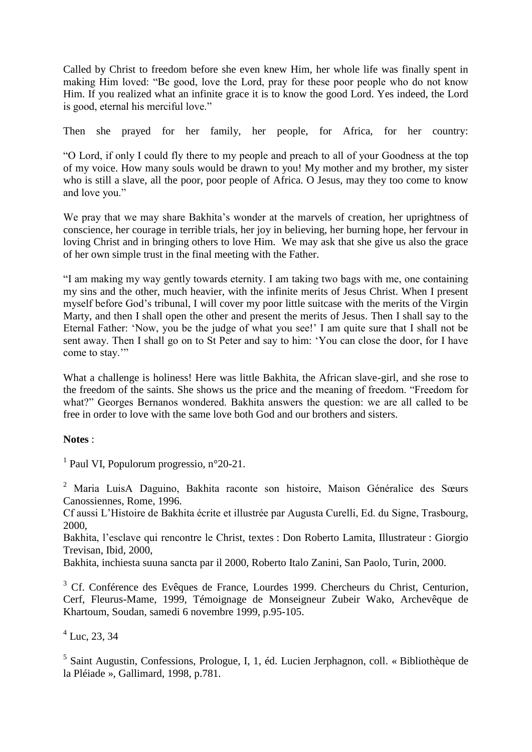Called by Christ to freedom before she even knew Him, her whole life was finally spent in making Him loved: "Be good, love the Lord, pray for these poor people who do not know Him. If you realized what an infinite grace it is to know the good Lord. Yes indeed, the Lord is good, eternal his merciful love."

Then she prayed for her family, her people, for Africa, for her country:

"O Lord, if only I could fly there to my people and preach to all of your Goodness at the top of my voice. How many souls would be drawn to you! My mother and my brother, my sister who is still a slave, all the poor, poor people of Africa. O Jesus, may they too come to know and love you."

We pray that we may share Bakhita's wonder at the marvels of creation, her uprightness of conscience, her courage in terrible trials, her joy in believing, her burning hope, her fervour in loving Christ and in bringing others to love Him. We may ask that she give us also the grace of her own simple trust in the final meeting with the Father.

"I am making my way gently towards eternity. I am taking two bags with me, one containing my sins and the other, much heavier, with the infinite merits of Jesus Christ. When I present myself before God's tribunal, I will cover my poor little suitcase with the merits of the Virgin Marty, and then I shall open the other and present the merits of Jesus. Then I shall say to the Eternal Father: 'Now, you be the judge of what you see!' I am quite sure that I shall not be sent away. Then I shall go on to St Peter and say to him: 'You can close the door, for I have come to stay.'"

What a challenge is holiness! Here was little Bakhita, the African slave-girl, and she rose to the freedom of the saints. She shows us the price and the meaning of freedom. "Freedom for what?" Georges Bernanos wondered. Bakhita answers the question: we are all called to be free in order to love with the same love both God and our brothers and sisters.

#### **Notes** :

1 Paul VI, Populorum progressio, n°20-21.

<sup>2</sup> Maria LuisA Daguino, Bakhita raconte son histoire, Maison Généralice des Sœurs Canossiennes, Rome, 1996.

Cf aussi L'Histoire de Bakhita écrite et illustrée par Augusta Curelli, Ed. du Signe, Trasbourg, 2000,

Bakhita, l'esclave qui rencontre le Christ, textes : Don Roberto Lamita, Illustrateur : Giorgio Trevisan, Ibid, 2000,

Bakhita, inchiesta suuna sancta par il 2000, Roberto Italo Zanini, San Paolo, Turin, 2000.

<sup>3</sup> Cf. Conférence des Evêques de France, Lourdes 1999. Chercheurs du Christ, Centurion, Cerf, Fleurus-Mame, 1999, Témoignage de Monseigneur Zubeir Wako, Archevêque de Khartoum, Soudan, samedi 6 novembre 1999, p.95-105.

 $<sup>4</sup>$  Luc, 23, 34</sup>

<sup>5</sup> Saint Augustin, Confessions, Prologue, I, 1, éd. Lucien Jerphagnon, coll. « Bibliothèque de la Pléiade », Gallimard, 1998, p.781.